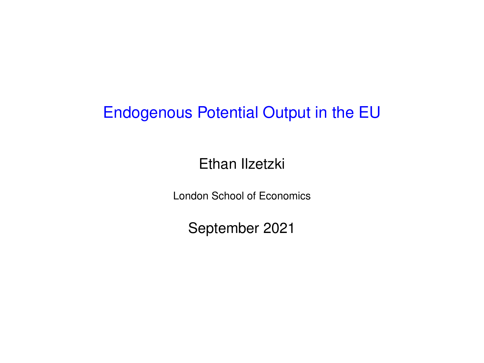#### Endogenous Potential Output in the EU

#### Ethan Ilzetzki

London School of Economics

September 2021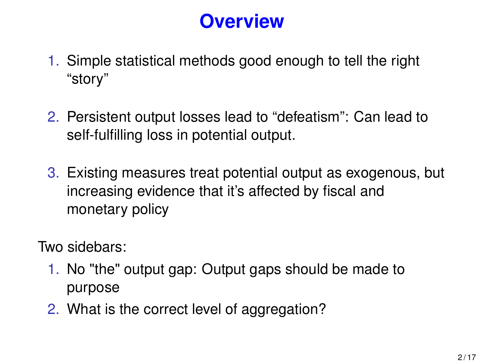## **Overview**

- 1. Simple statistical methods good enough to tell the right "story"
- 2. Persistent output losses lead to "defeatism": Can lead to self-fulfilling loss in potential output.
- 3. Existing measures treat potential output as exogenous, but increasing evidence that it's affected by fiscal and monetary policy

Two sidebars:

- 1. No "the" output gap: Output gaps should be made to purpose
- 2. What is the correct level of aggregation?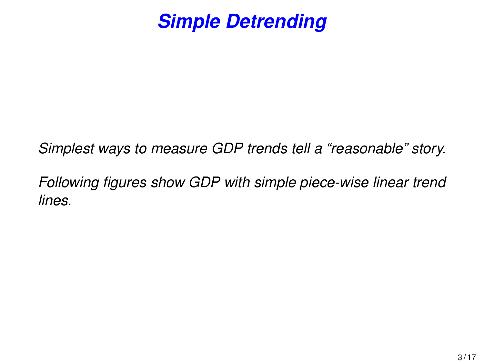## *Simple Detrending*

*Simplest ways to measure GDP trends tell a "reasonable" story.*

*Following figures show GDP with simple piece-wise linear trend lines.*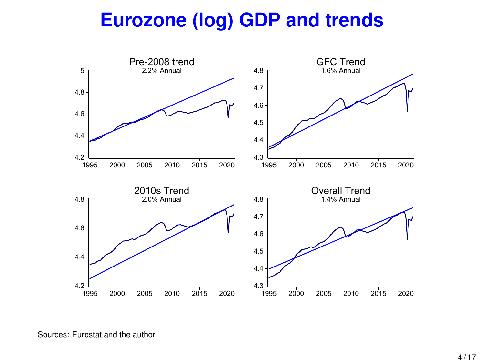### **Eurozone (log) GDP and trends**



Sources: Eurostat and the author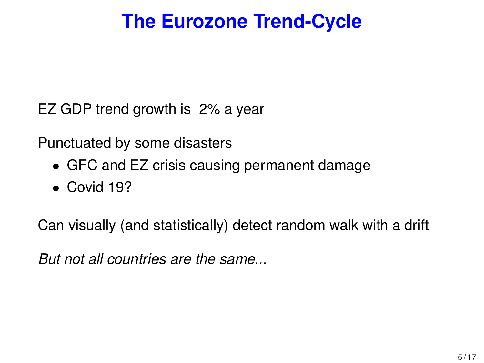## **The Eurozone Trend-Cycle**

EZ GDP trend growth is 2% a year

Punctuated by some disasters

- GFC and EZ crisis causing permanent damage
- Covid 19?

Can visually (and statistically) detect random walk with a drift

*But not all countries are the same...*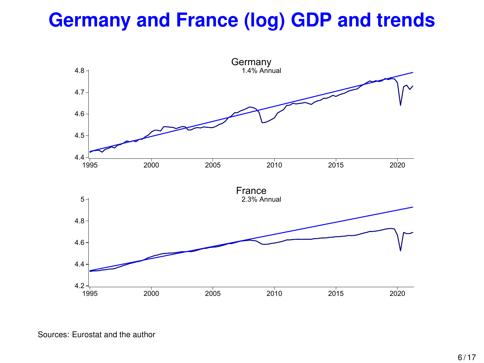## **Germany and France (log) GDP and trends**



Sources: Eurostat and the author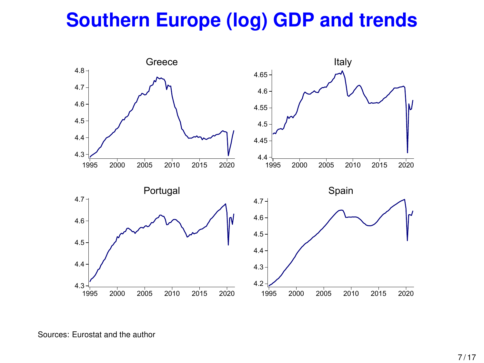## **Southern Europe (log) GDP and trends**



Sources: Eurostat and the author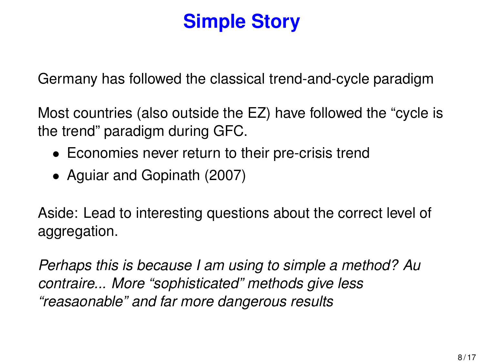## **Simple Story**

Germany has followed the classical trend-and-cycle paradigm

Most countries (also outside the EZ) have followed the "cycle is the trend" paradigm during GFC.

- Economies never return to their pre-crisis trend
- Aguiar and Gopinath (2007)

Aside: Lead to interesting questions about the correct level of aggregation.

*Perhaps this is because I am using to simple a method? Au contraire... More "sophisticated" methods give less "reasaonable" and far more dangerous results*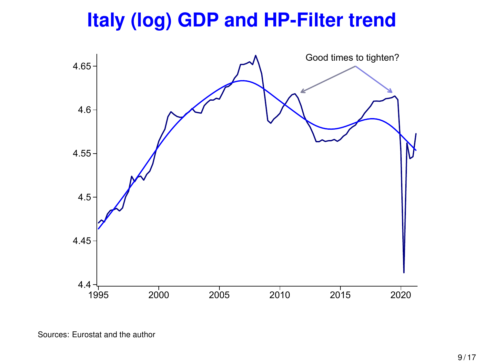### **Italy (log) GDP and HP-Filter trend**



Sources: Eurostat and the author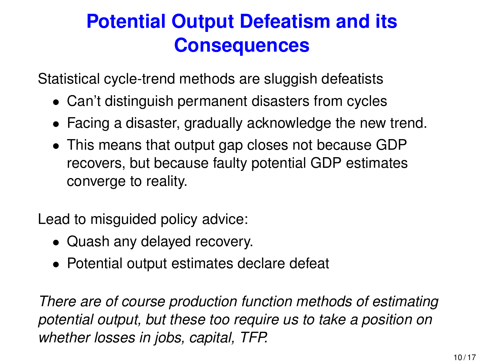## **Potential Output Defeatism and its Consequences**

Statistical cycle-trend methods are sluggish defeatists

- Can't distinguish permanent disasters from cycles
- Facing a disaster, gradually acknowledge the new trend.
- This means that output gap closes not because GDP recovers, but because faulty potential GDP estimates converge to reality.

Lead to misguided policy advice:

- Quash any delayed recovery.
- Potential output estimates declare defeat

*There are of course production function methods of estimating potential output, but these too require us to take a position on whether losses in jobs, capital, TFP.*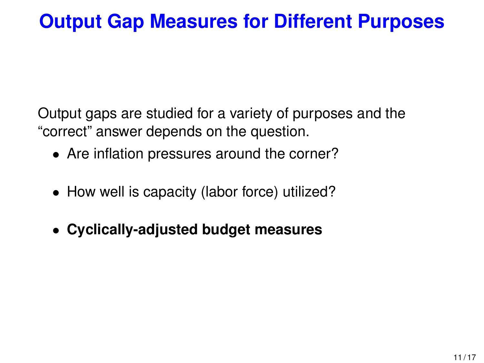### **Output Gap Measures for Different Purposes**

Output gaps are studied for a variety of purposes and the "correct" answer depends on the question.

- Are inflation pressures around the corner?
- How well is capacity (labor force) utilized?
- **Cyclically-adjusted budget measures**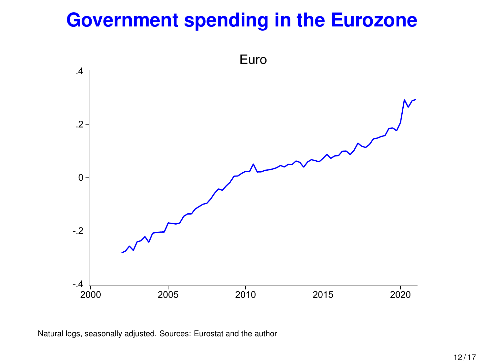### **Government spending in the Eurozone**



Natural logs, seasonally adjusted. Sources: Eurostat and the author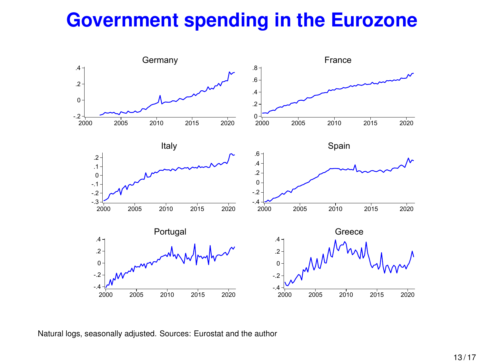### **Government spending in the Eurozone**



Natural logs, seasonally adjusted. Sources: Eurostat and the author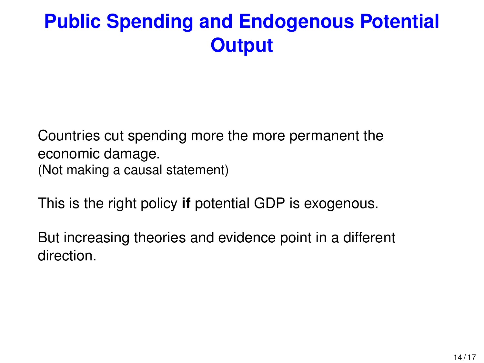# **Public Spending and Endogenous Potential Output**

Countries cut spending more the more permanent the economic damage. (Not making a causal statement)

This is the right policy **if** potential GDP is exogenous.

But increasing theories and evidence point in a different direction.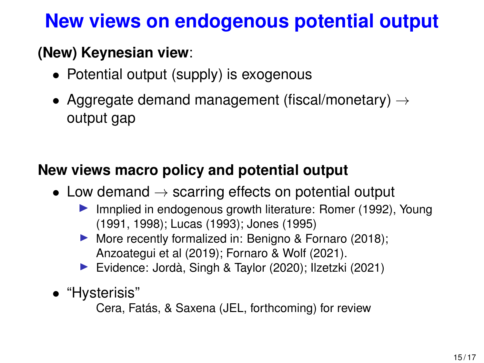## **New views on endogenous potential output**

#### **(New) Keynesian view**:

- Potential output (supply) is exogenous
- Aggregate demand management (fiscal/monetary)  $\rightarrow$ output gap

#### **New views macro policy and potential output**

- Low demand  $\rightarrow$  scarring effects on potential output
	- Imnplied in endogenous growth literature: Romer (1992), Young (1991, 1998); Lucas (1993); Jones (1995)
	- ▶ More recently formalized in: Benigno & Fornaro (2018); Anzoategui et al (2019); Fornaro & Wolf (2021).
	- ▶ Evidence: Jordà, Singh & Taylor (2020); Ilzetzki (2021)
- "Hysterisis"

Cera, Fatás, & Saxena (JEL, forthcoming) for review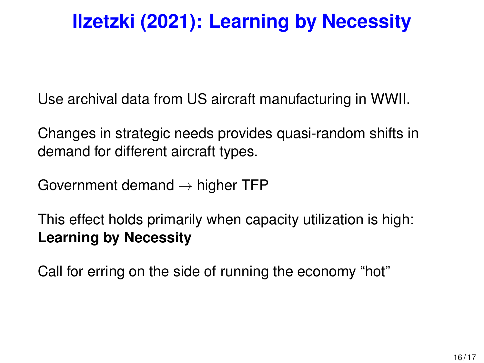## **Ilzetzki (2021): Learning by Necessity**

Use archival data from US aircraft manufacturing in WWII.

Changes in strategic needs provides quasi-random shifts in demand for different aircraft types.

Government demand  $\rightarrow$  higher TFP

This effect holds primarily when capacity utilization is high: **Learning by Necessity**

Call for erring on the side of running the economy "hot"